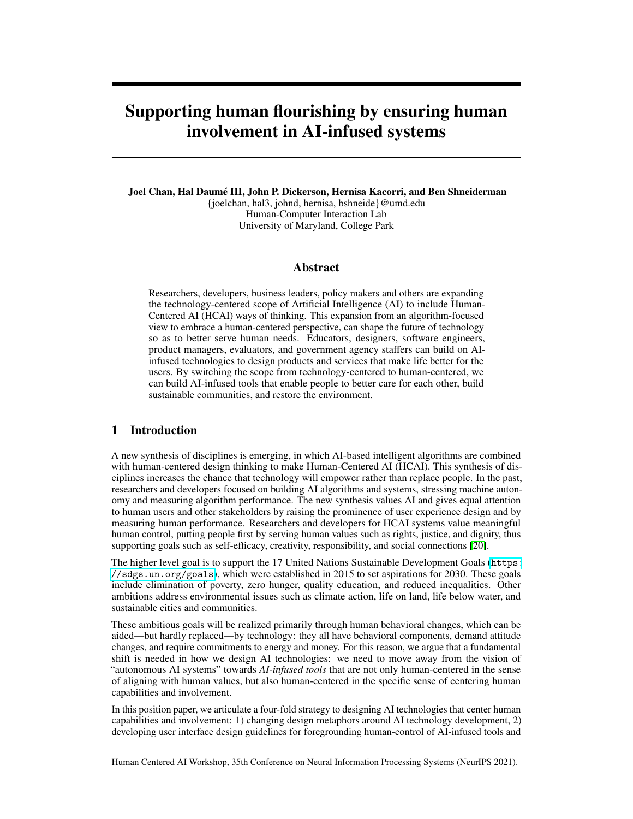# Supporting human flourishing by ensuring human involvement in AI-infused systems

Joel Chan, Hal Daumé III, John P. Dickerson, Hernisa Kacorri, and Ben Shneiderman {joelchan, hal3, johnd, hernisa, bshneide}@umd.edu Human-Computer Interaction Lab University of Maryland, College Park

## Abstract

Researchers, developers, business leaders, policy makers and others are expanding the technology-centered scope of Artificial Intelligence (AI) to include Human-Centered AI (HCAI) ways of thinking. This expansion from an algorithm-focused view to embrace a human-centered perspective, can shape the future of technology so as to better serve human needs. Educators, designers, software engineers, product managers, evaluators, and government agency staffers can build on AIinfused technologies to design products and services that make life better for the users. By switching the scope from technology-centered to human-centered, we can build AI-infused tools that enable people to better care for each other, build sustainable communities, and restore the environment.

#### 1 Introduction

A new synthesis of disciplines is emerging, in which AI-based intelligent algorithms are combined with human-centered design thinking to make Human-Centered AI (HCAI). This synthesis of disciplines increases the chance that technology will empower rather than replace people. In the past, researchers and developers focused on building AI algorithms and systems, stressing machine autonomy and measuring algorithm performance. The new synthesis values AI and gives equal attention to human users and other stakeholders by raising the prominence of user experience design and by measuring human performance. Researchers and developers for HCAI systems value meaningful human control, putting people first by serving human values such as rights, justice, and dignity, thus supporting goals such as self-efficacy, creativity, responsibility, and social connections [\[20\]](#page-4-0).

The higher level goal is to support the 17 United Nations Sustainable Development Goals ([https:](https://sdgs.un.org/goals) [//sdgs.un.org/goals](https://sdgs.un.org/goals)), which were established in 2015 to set aspirations for 2030. These goals include elimination of poverty, zero hunger, quality education, and reduced inequalities. Other ambitions address environmental issues such as climate action, life on land, life below water, and sustainable cities and communities.

These ambitious goals will be realized primarily through human behavioral changes, which can be aided—but hardly replaced—by technology: they all have behavioral components, demand attitude changes, and require commitments to energy and money. For this reason, we argue that a fundamental shift is needed in how we design AI technologies: we need to move away from the vision of "autonomous AI systems" towards *AI-infused tools* that are not only human-centered in the sense of aligning with human values, but also human-centered in the specific sense of centering human capabilities and involvement.

In this position paper, we articulate a four-fold strategy to designing AI technologies that center human capabilities and involvement: 1) changing design metaphors around AI technology development, 2) developing user interface design guidelines for foregrounding human-control of AI-infused tools and

Human Centered AI Workshop, 35th Conference on Neural Information Processing Systems (NeurIPS 2021).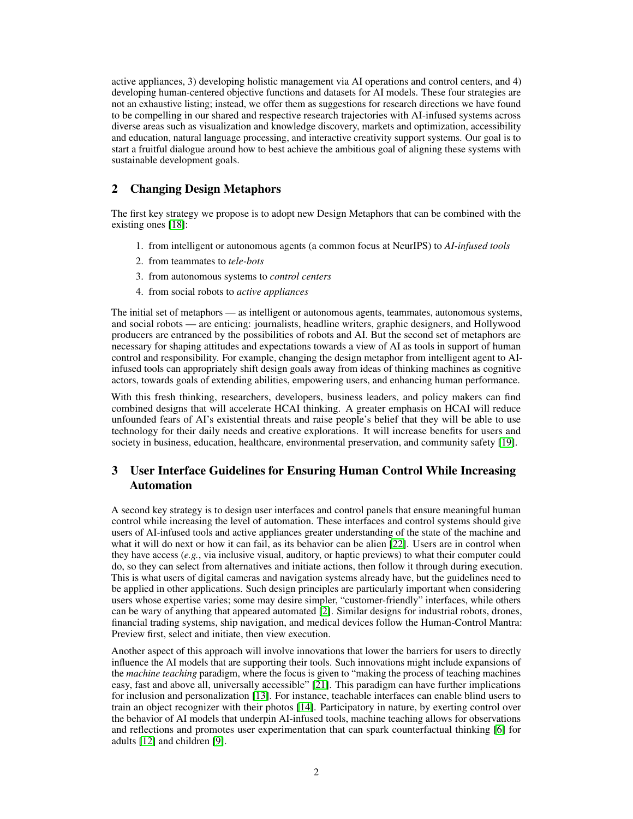active appliances, 3) developing holistic management via AI operations and control centers, and 4) developing human-centered objective functions and datasets for AI models. These four strategies are not an exhaustive listing; instead, we offer them as suggestions for research directions we have found to be compelling in our shared and respective research trajectories with AI-infused systems across diverse areas such as visualization and knowledge discovery, markets and optimization, accessibility and education, natural language processing, and interactive creativity support systems. Our goal is to start a fruitful dialogue around how to best achieve the ambitious goal of aligning these systems with sustainable development goals.

# 2 Changing Design Metaphors

The first key strategy we propose is to adopt new Design Metaphors that can be combined with the existing ones [\[18\]](#page-4-1):

- 1. from intelligent or autonomous agents (a common focus at NeurIPS) to *AI-infused tools*
- 2. from teammates to *tele-bots*
- 3. from autonomous systems to *control centers*
- 4. from social robots to *active appliances*

The initial set of metaphors — as intelligent or autonomous agents, teammates, autonomous systems, and social robots — are enticing: journalists, headline writers, graphic designers, and Hollywood producers are entranced by the possibilities of robots and AI. But the second set of metaphors are necessary for shaping attitudes and expectations towards a view of AI as tools in support of human control and responsibility. For example, changing the design metaphor from intelligent agent to AIinfused tools can appropriately shift design goals away from ideas of thinking machines as cognitive actors, towards goals of extending abilities, empowering users, and enhancing human performance.

With this fresh thinking, researchers, developers, business leaders, and policy makers can find combined designs that will accelerate HCAI thinking. A greater emphasis on HCAI will reduce unfounded fears of AI's existential threats and raise people's belief that they will be able to use technology for their daily needs and creative explorations. It will increase benefits for users and society in business, education, healthcare, environmental preservation, and community safety [\[19\]](#page-4-2).

# 3 User Interface Guidelines for Ensuring Human Control While Increasing Automation

A second key strategy is to design user interfaces and control panels that ensure meaningful human control while increasing the level of automation. These interfaces and control systems should give users of AI-infused tools and active appliances greater understanding of the state of the machine and what it will do next or how it can fail, as its behavior can be alien [\[22\]](#page-4-3). Users are in control when they have access (*e.g.*, via inclusive visual, auditory, or haptic previews) to what their computer could do, so they can select from alternatives and initiate actions, then follow it through during execution. This is what users of digital cameras and navigation systems already have, but the guidelines need to be applied in other applications. Such design principles are particularly important when considering users whose expertise varies; some may desire simpler, "customer-friendly" interfaces, while others can be wary of anything that appeared automated [\[2\]](#page-3-0). Similar designs for industrial robots, drones, financial trading systems, ship navigation, and medical devices follow the Human-Control Mantra: Preview first, select and initiate, then view execution.

Another aspect of this approach will involve innovations that lower the barriers for users to directly influence the AI models that are supporting their tools. Such innovations might include expansions of the *machine teaching* paradigm, where the focus is given to "making the process of teaching machines easy, fast and above all, universally accessible" [\[21\]](#page-4-4). This paradigm can have further implications for inclusion and personalization [\[13\]](#page-4-5). For instance, teachable interfaces can enable blind users to train an object recognizer with their photos [\[14\]](#page-4-6). Participatory in nature, by exerting control over the behavior of AI models that underpin AI-infused tools, machine teaching allows for observations and reflections and promotes user experimentation that can spark counterfactual thinking [\[6\]](#page-3-1) for adults [\[12\]](#page-3-2) and children [\[9\]](#page-3-3).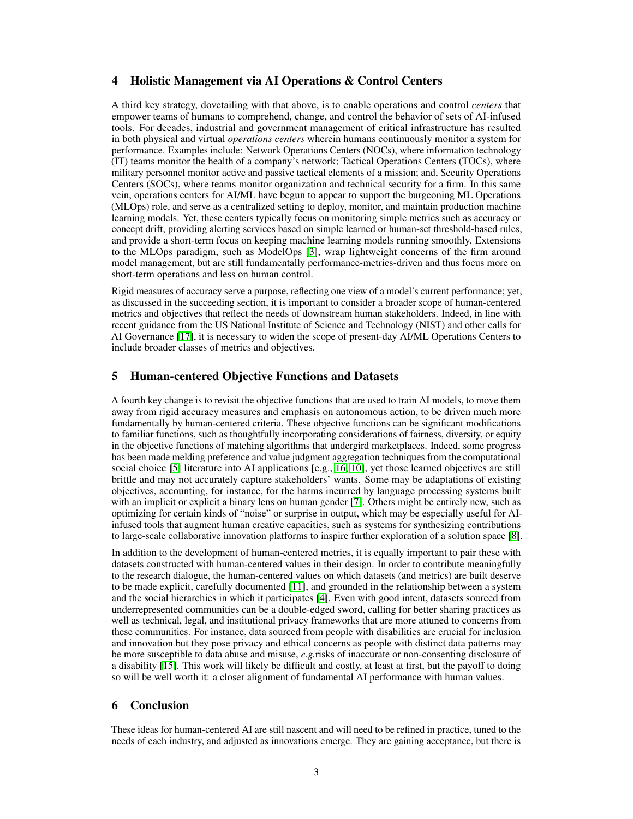### 4 Holistic Management via AI Operations & Control Centers

A third key strategy, dovetailing with that above, is to enable operations and control *centers* that empower teams of humans to comprehend, change, and control the behavior of sets of AI-infused tools. For decades, industrial and government management of critical infrastructure has resulted in both physical and virtual *operations centers* wherein humans continuously monitor a system for performance. Examples include: Network Operations Centers (NOCs), where information technology (IT) teams monitor the health of a company's network; Tactical Operations Centers (TOCs), where military personnel monitor active and passive tactical elements of a mission; and, Security Operations Centers (SOCs), where teams monitor organization and technical security for a firm. In this same vein, operations centers for AI/ML have begun to appear to support the burgeoning ML Operations (MLOps) role, and serve as a centralized setting to deploy, monitor, and maintain production machine learning models. Yet, these centers typically focus on monitoring simple metrics such as accuracy or concept drift, providing alerting services based on simple learned or human-set threshold-based rules, and provide a short-term focus on keeping machine learning models running smoothly. Extensions to the MLOps paradigm, such as ModelOps [\[3\]](#page-3-4), wrap lightweight concerns of the firm around model management, but are still fundamentally performance-metrics-driven and thus focus more on short-term operations and less on human control.

Rigid measures of accuracy serve a purpose, reflecting one view of a model's current performance; yet, as discussed in the succeeding section, it is important to consider a broader scope of human-centered metrics and objectives that reflect the needs of downstream human stakeholders. Indeed, in line with recent guidance from the US National Institute of Science and Technology (NIST) and other calls for AI Governance [\[17\]](#page-4-7), it is necessary to widen the scope of present-day AI/ML Operations Centers to include broader classes of metrics and objectives.

## 5 Human-centered Objective Functions and Datasets

A fourth key change is to revisit the objective functions that are used to train AI models, to move them away from rigid accuracy measures and emphasis on autonomous action, to be driven much more fundamentally by human-centered criteria. These objective functions can be significant modifications to familiar functions, such as thoughtfully incorporating considerations of fairness, diversity, or equity in the objective functions of matching algorithms that undergird marketplaces. Indeed, some progress has been made melding preference and value judgment aggregation techniques from the computational social choice [\[5\]](#page-3-5) literature into AI applications [e.g., [16,](#page-4-8) [10\]](#page-3-6), yet those learned objectives are still brittle and may not accurately capture stakeholders' wants. Some may be adaptations of existing objectives, accounting, for instance, for the harms incurred by language processing systems built with an implicit or explicit a binary lens on human gender [\[7\]](#page-3-7). Others might be entirely new, such as optimizing for certain kinds of "noise" or surprise in output, which may be especially useful for AIinfused tools that augment human creative capacities, such as systems for synthesizing contributions to large-scale collaborative innovation platforms to inspire further exploration of a solution space [\[8\]](#page-3-8).

In addition to the development of human-centered metrics, it is equally important to pair these with datasets constructed with human-centered values in their design. In order to contribute meaningfully to the research dialogue, the human-centered values on which datasets (and metrics) are built deserve to be made explicit, carefully documented [\[11\]](#page-3-9), and grounded in the relationship between a system and the social hierarchies in which it participates [\[4\]](#page-3-10). Even with good intent, datasets sourced from underrepresented communities can be a double-edged sword, calling for better sharing practices as well as technical, legal, and institutional privacy frameworks that are more attuned to concerns from these communities. For instance, data sourced from people with disabilities are crucial for inclusion and innovation but they pose privacy and ethical concerns as people with distinct data patterns may be more susceptible to data abuse and misuse, *e.g.*risks of inaccurate or non-consenting disclosure of a disability [\[15\]](#page-4-9). This work will likely be difficult and costly, at least at first, but the payoff to doing so will be well worth it: a closer alignment of fundamental AI performance with human values.

## 6 Conclusion

These ideas for human-centered AI are still nascent and will need to be refined in practice, tuned to the needs of each industry, and adjusted as innovations emerge. They are gaining acceptance, but there is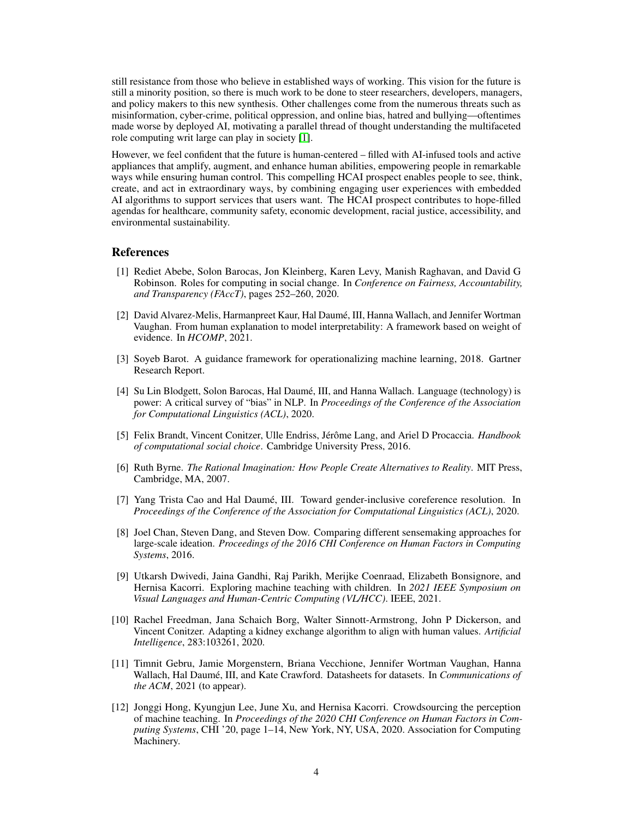still resistance from those who believe in established ways of working. This vision for the future is still a minority position, so there is much work to be done to steer researchers, developers, managers, and policy makers to this new synthesis. Other challenges come from the numerous threats such as misinformation, cyber-crime, political oppression, and online bias, hatred and bullying—oftentimes made worse by deployed AI, motivating a parallel thread of thought understanding the multifaceted role computing writ large can play in society [\[1\]](#page-3-11).

However, we feel confident that the future is human-centered – filled with AI-infused tools and active appliances that amplify, augment, and enhance human abilities, empowering people in remarkable ways while ensuring human control. This compelling HCAI prospect enables people to see, think, create, and act in extraordinary ways, by combining engaging user experiences with embedded AI algorithms to support services that users want. The HCAI prospect contributes to hope-filled agendas for healthcare, community safety, economic development, racial justice, accessibility, and environmental sustainability.

#### References

- <span id="page-3-11"></span>[1] Rediet Abebe, Solon Barocas, Jon Kleinberg, Karen Levy, Manish Raghavan, and David G Robinson. Roles for computing in social change. In *Conference on Fairness, Accountability, and Transparency (FAccT)*, pages 252–260, 2020.
- <span id="page-3-0"></span>[2] David Alvarez-Melis, Harmanpreet Kaur, Hal Daumé, III, Hanna Wallach, and Jennifer Wortman Vaughan. From human explanation to model interpretability: A framework based on weight of evidence. In *HCOMP*, 2021.
- <span id="page-3-4"></span>[3] Soyeb Barot. A guidance framework for operationalizing machine learning, 2018. Gartner Research Report.
- <span id="page-3-10"></span>[4] Su Lin Blodgett, Solon Barocas, Hal Daumé, III, and Hanna Wallach. Language (technology) is power: A critical survey of "bias" in NLP. In *Proceedings of the Conference of the Association for Computational Linguistics (ACL)*, 2020.
- <span id="page-3-5"></span>[5] Felix Brandt, Vincent Conitzer, Ulle Endriss, Jérôme Lang, and Ariel D Procaccia. *Handbook of computational social choice*. Cambridge University Press, 2016.
- <span id="page-3-1"></span>[6] Ruth Byrne. *The Rational Imagination: How People Create Alternatives to Reality*. MIT Press, Cambridge, MA, 2007.
- <span id="page-3-7"></span>[7] Yang Trista Cao and Hal Daumé, III. Toward gender-inclusive coreference resolution. In *Proceedings of the Conference of the Association for Computational Linguistics (ACL)*, 2020.
- <span id="page-3-8"></span>[8] Joel Chan, Steven Dang, and Steven Dow. Comparing different sensemaking approaches for large-scale ideation. *Proceedings of the 2016 CHI Conference on Human Factors in Computing Systems*, 2016.
- <span id="page-3-3"></span>[9] Utkarsh Dwivedi, Jaina Gandhi, Raj Parikh, Merijke Coenraad, Elizabeth Bonsignore, and Hernisa Kacorri. Exploring machine teaching with children. In *2021 IEEE Symposium on Visual Languages and Human-Centric Computing (VL/HCC)*. IEEE, 2021.
- <span id="page-3-6"></span>[10] Rachel Freedman, Jana Schaich Borg, Walter Sinnott-Armstrong, John P Dickerson, and Vincent Conitzer. Adapting a kidney exchange algorithm to align with human values. *Artificial Intelligence*, 283:103261, 2020.
- <span id="page-3-9"></span>[11] Timnit Gebru, Jamie Morgenstern, Briana Vecchione, Jennifer Wortman Vaughan, Hanna Wallach, Hal Daumé, III, and Kate Crawford. Datasheets for datasets. In *Communications of the ACM*, 2021 (to appear).
- <span id="page-3-2"></span>[12] Jonggi Hong, Kyungjun Lee, June Xu, and Hernisa Kacorri. Crowdsourcing the perception of machine teaching. In *Proceedings of the 2020 CHI Conference on Human Factors in Computing Systems*, CHI '20, page 1–14, New York, NY, USA, 2020. Association for Computing Machinery.